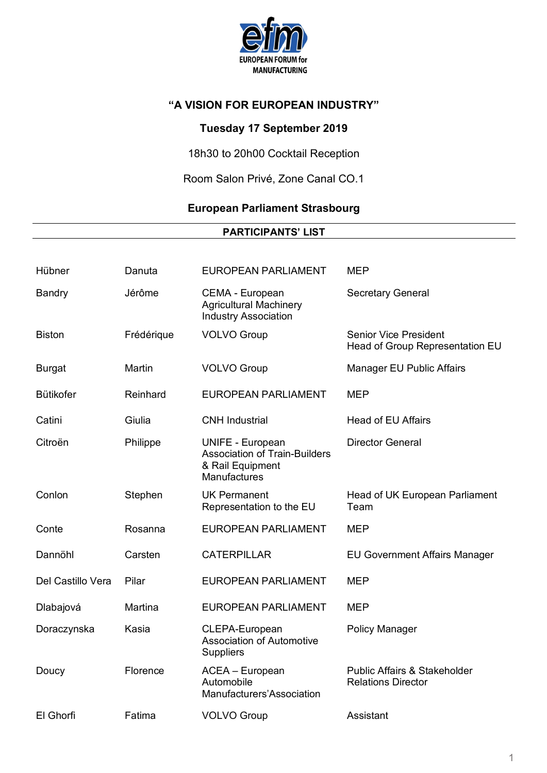

# **Tuesday 17 September 2019**

18h30 to 20h00 Cocktail Reception

Room Salon Privé, Zone Canal CO.1

# **European Parliament Strasbourg**

### **PARTICIPANTS' LIST**

| Hübner            | Danuta     | <b>EUROPEAN PARLIAMENT</b>                                                                          | <b>MEP</b>                                                           |
|-------------------|------------|-----------------------------------------------------------------------------------------------------|----------------------------------------------------------------------|
| <b>Bandry</b>     | Jérôme     | CEMA - European<br><b>Agricultural Machinery</b><br><b>Industry Association</b>                     | <b>Secretary General</b>                                             |
| <b>Biston</b>     | Frédérique | <b>VOLVO Group</b>                                                                                  | <b>Senior Vice President</b><br>Head of Group Representation EU      |
| <b>Burgat</b>     | Martin     | <b>VOLVO Group</b>                                                                                  | Manager EU Public Affairs                                            |
| <b>Bütikofer</b>  | Reinhard   | <b>EUROPEAN PARLIAMENT</b>                                                                          | <b>MEP</b>                                                           |
| Catini            | Giulia     | <b>CNH</b> Industrial                                                                               | <b>Head of EU Affairs</b>                                            |
| Citroën           | Philippe   | <b>UNIFE - European</b><br><b>Association of Train-Builders</b><br>& Rail Equipment<br>Manufactures | <b>Director General</b>                                              |
| Conlon            | Stephen    | <b>UK Permanent</b><br>Representation to the EU                                                     | Head of UK European Parliament<br>Team                               |
| Conte             | Rosanna    | <b>EUROPEAN PARLIAMENT</b>                                                                          | <b>MEP</b>                                                           |
| Dannöhl           | Carsten    | <b>CATERPILLAR</b>                                                                                  | <b>EU Government Affairs Manager</b>                                 |
| Del Castillo Vera | Pilar      | <b>EUROPEAN PARLIAMENT</b>                                                                          | <b>MEP</b>                                                           |
| Dlabajová         | Martina    | <b>EUROPEAN PARLIAMENT</b>                                                                          | <b>MEP</b>                                                           |
| Doraczynska       | Kasia      | CLEPA-European<br><b>Association of Automotive</b><br><b>Suppliers</b>                              | <b>Policy Manager</b>                                                |
| Doucy             | Florence   | ACEA - European<br>Automobile<br>Manufacturers'Association                                          | <b>Public Affairs &amp; Stakeholder</b><br><b>Relations Director</b> |
| El Ghorfi         | Fatima     | <b>VOLVO Group</b>                                                                                  | Assistant                                                            |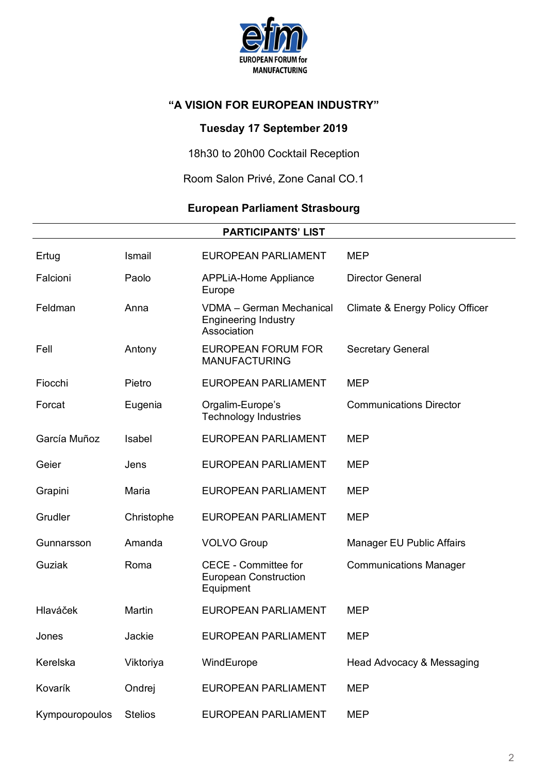

# **Tuesday 17 September 2019**

18h30 to 20h00 Cocktail Reception

Room Salon Privé, Zone Canal CO.1

# **European Parliament Strasbourg**

| <b>PARTICIPANTS' LIST</b> |                |                                                                               |                                 |  |  |
|---------------------------|----------------|-------------------------------------------------------------------------------|---------------------------------|--|--|
| Ertug                     | Ismail         | <b>EUROPEAN PARLIAMENT</b>                                                    | <b>MEP</b>                      |  |  |
| Falcioni                  | Paolo          | <b>APPLiA-Home Appliance</b><br>Europe                                        | <b>Director General</b>         |  |  |
| Feldman                   | Anna           | <b>VDMA - German Mechanical</b><br><b>Engineering Industry</b><br>Association | Climate & Energy Policy Officer |  |  |
| Fell                      | Antony         | <b>EUROPEAN FORUM FOR</b><br><b>MANUFACTURING</b>                             | <b>Secretary General</b>        |  |  |
| Fiocchi                   | Pietro         | <b>EUROPEAN PARLIAMENT</b>                                                    | <b>MEP</b>                      |  |  |
| Forcat                    | Eugenia        | Orgalim-Europe's<br><b>Technology Industries</b>                              | <b>Communications Director</b>  |  |  |
| García Muñoz              | Isabel         | <b>EUROPEAN PARLIAMENT</b>                                                    | <b>MEP</b>                      |  |  |
| Geier                     | Jens           | <b>EUROPEAN PARLIAMENT</b>                                                    | <b>MEP</b>                      |  |  |
| Grapini                   | Maria          | <b>EUROPEAN PARLIAMENT</b>                                                    | <b>MEP</b>                      |  |  |
| Grudler                   | Christophe     | <b>EUROPEAN PARLIAMENT</b>                                                    | <b>MEP</b>                      |  |  |
| Gunnarsson                | Amanda         | <b>VOLVO Group</b>                                                            | Manager EU Public Affairs       |  |  |
| Guziak                    | Roma           | <b>CECE - Committee for</b><br><b>European Construction</b><br>Equipment      | <b>Communications Manager</b>   |  |  |
| Hlaváček                  | Martin         | <b>EUROPEAN PARLIAMENT</b>                                                    | <b>MEP</b>                      |  |  |
| Jones                     | Jackie         | EUROPEAN PARLIAMENT                                                           | <b>MEP</b>                      |  |  |
| Kerelska                  | Viktoriya      | WindEurope                                                                    | Head Advocacy & Messaging       |  |  |
| Kovarík                   | Ondrej         | <b>EUROPEAN PARLIAMENT</b>                                                    | <b>MEP</b>                      |  |  |
| Kympouropoulos            | <b>Stelios</b> | <b>EUROPEAN PARLIAMENT</b>                                                    | <b>MEP</b>                      |  |  |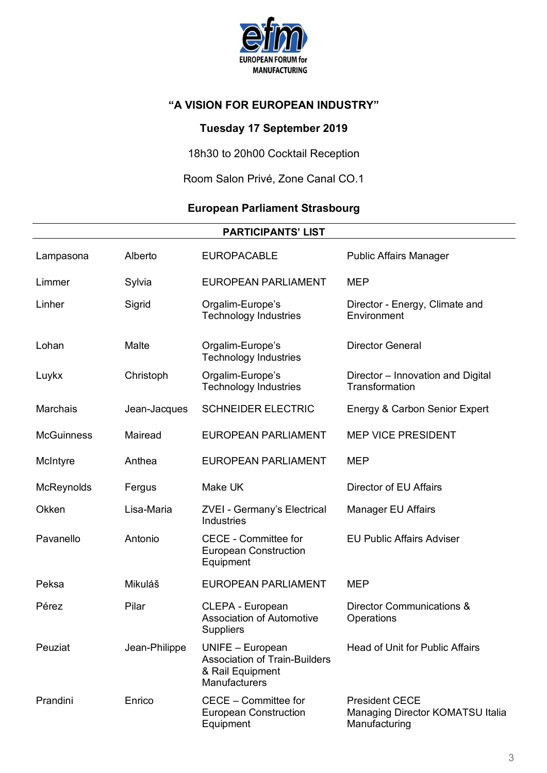

# **Tuesday 17 September 2019**

18h30 to 20h00 Cocktail Reception

Room Salon Privé, Zone Canal CO.1

# **European Parliament Strasbourg**

|                   |               | <b>PARTICIPANTS' LIST</b>                                                                            |                                                                            |
|-------------------|---------------|------------------------------------------------------------------------------------------------------|----------------------------------------------------------------------------|
| Lampasona         | Alberto       | <b>EUROPACABLE</b>                                                                                   | <b>Public Affairs Manager</b>                                              |
| Limmer            | Sylvia        | <b>EUROPEAN PARLIAMENT</b>                                                                           | <b>MEP</b>                                                                 |
| Linher            | Sigrid        | Orgalim-Europe's<br><b>Technology Industries</b>                                                     | Director - Energy, Climate and<br>Environment                              |
| Lohan             | Malte         | Orgalim-Europe's<br><b>Technology Industries</b>                                                     | <b>Director General</b>                                                    |
| Luykx             | Christoph     | Orgalim-Europe's<br><b>Technology Industries</b>                                                     | Director – Innovation and Digital<br>Transformation                        |
| <b>Marchais</b>   | Jean-Jacques  | <b>SCHNEIDER ELECTRIC</b>                                                                            | Energy & Carbon Senior Expert                                              |
| <b>McGuinness</b> | Mairead       | <b>EUROPEAN PARLIAMENT</b>                                                                           | <b>MEP VICE PRESIDENT</b>                                                  |
| McIntyre          | Anthea        | <b>EUROPEAN PARLIAMENT</b>                                                                           | <b>MEP</b>                                                                 |
| McReynolds        | Fergus        | Make UK                                                                                              | Director of EU Affairs                                                     |
| Okken             | Lisa-Maria    | <b>ZVEI - Germany's Electrical</b><br>Industries                                                     | <b>Manager EU Affairs</b>                                                  |
| Pavanello         | Antonio       | <b>CECE - Committee for</b><br><b>European Construction</b><br>Equipment                             | <b>EU Public Affairs Adviser</b>                                           |
| Peksa             | Mikuláš       | <b>EUROPEAN PARLIAMENT</b>                                                                           | <b>MEP</b>                                                                 |
| Pérez             | Pilar         | CLEPA - European<br><b>Association of Automotive</b><br><b>Suppliers</b>                             | Director Communications &<br>Operations                                    |
| Peuziat           | Jean-Philippe | UNIFE - European<br><b>Association of Train-Builders</b><br>& Rail Equipment<br><b>Manufacturers</b> | <b>Head of Unit for Public Affairs</b>                                     |
| Prandini          | Enrico        | CECE - Committee for<br><b>European Construction</b><br>Equipment                                    | <b>President CECE</b><br>Managing Director KOMATSU Italia<br>Manufacturing |